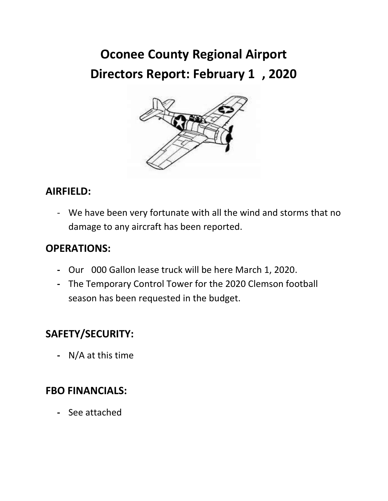# **Oconee County Regional Airport Directors Report: February 13, 2020**



## **AIRFIELD:**

- We have been very fortunate with all the wind and storms that no damage to any aircraft has been reported.

#### **OPERATIONS:**

- **-** Our 5000 Gallon lease truck will be here March 1, 2020.
- **-** The Temporary Control Tower for the 2020 Clemson football season has been requested in the budget.

## **SAFETY/SECURITY:**

**-** N/A at this time

### **FBO FINANCIALS:**

**-** See attached